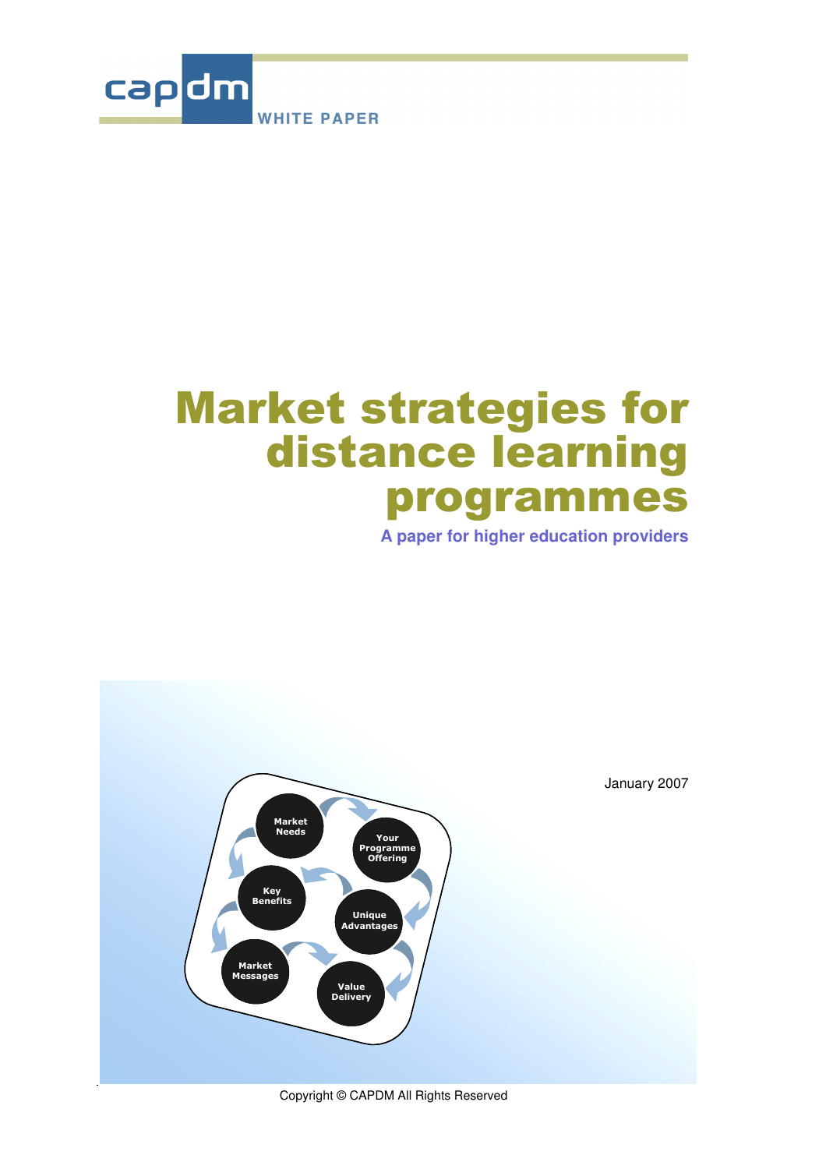

# **Market strategies for** distance learning programmes

**A paper for higher education providers**



Copyright © CAPDM All Rights Reserved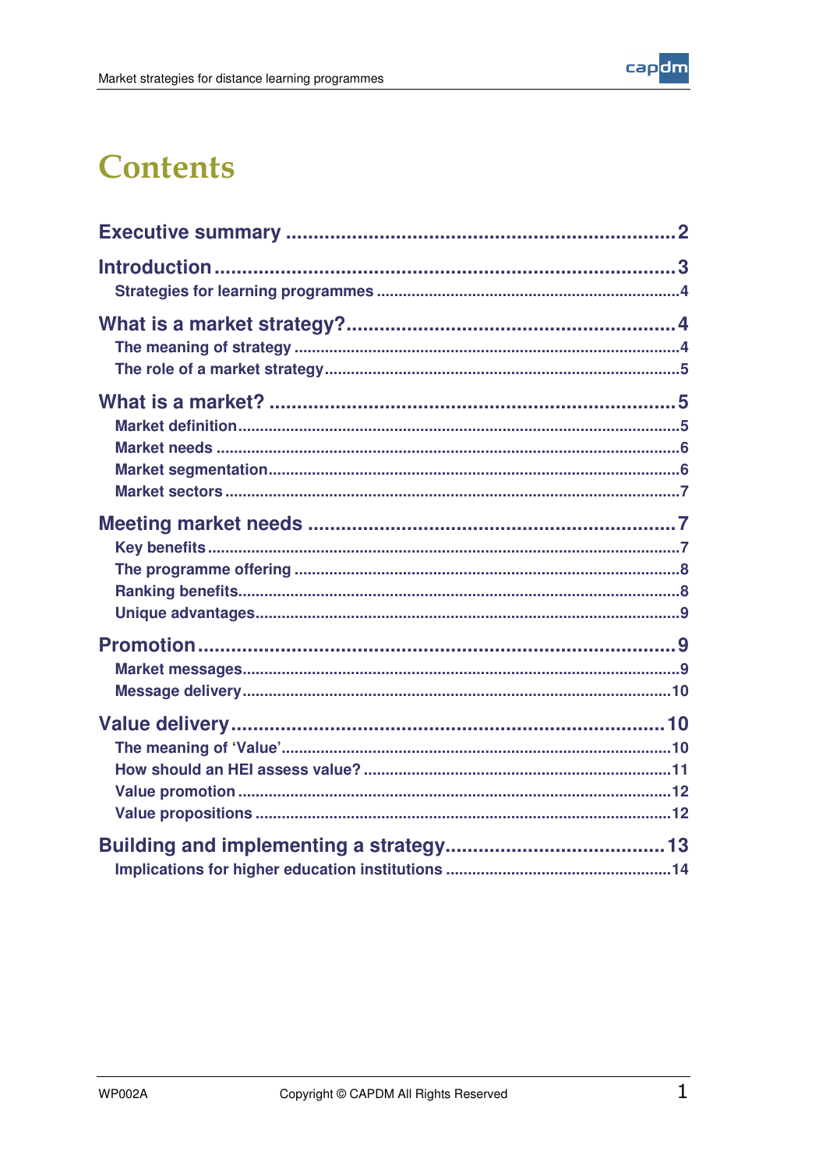

### **Contents**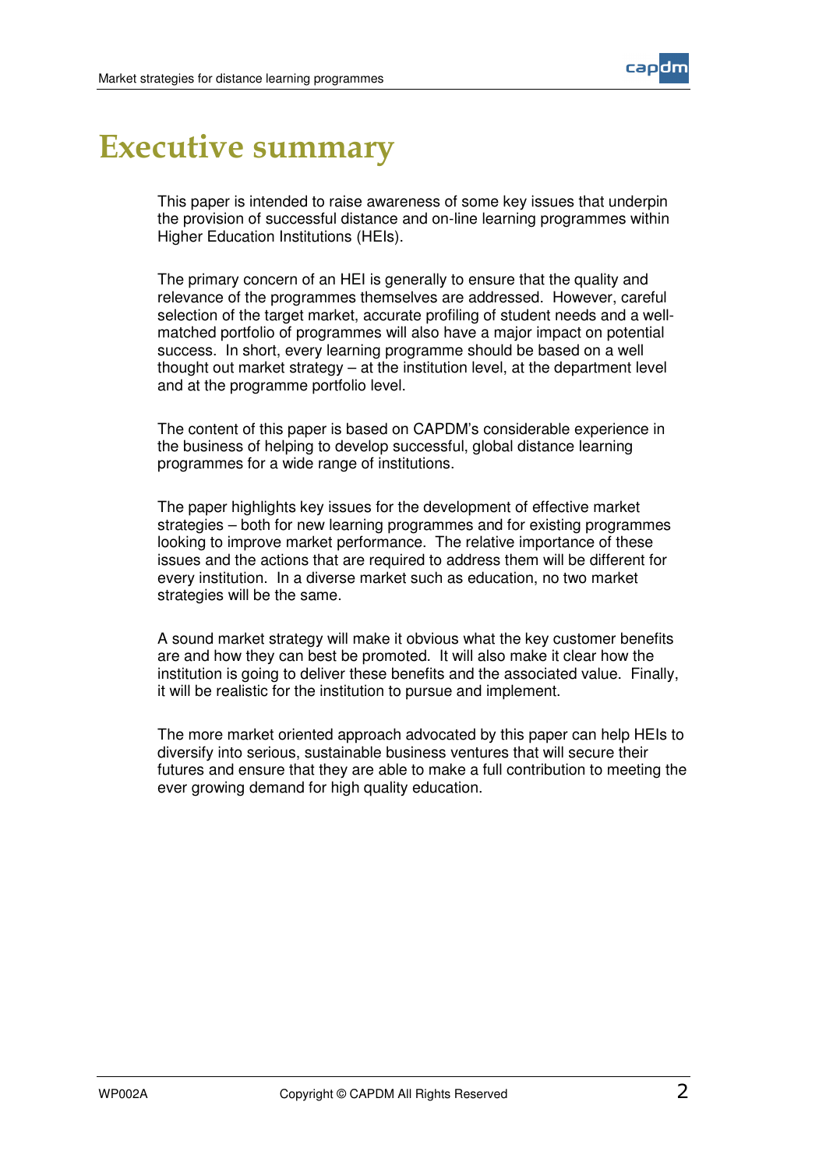

### **Executive summary**

This paper is intended to raise awareness of some key issues that underpin the provision of successful distance and on-line learning programmes within Higher Education Institutions (HEIs).

The primary concern of an HEI is generally to ensure that the quality and relevance of the programmes themselves are addressed. However, careful selection of the target market, accurate profiling of student needs and a wellmatched portfolio of programmes will also have a major impact on potential success. In short, every learning programme should be based on a well thought out market strategy – at the institution level, at the department level and at the programme portfolio level.

The content of this paper is based on CAPDM's considerable experience in the business of helping to develop successful, global distance learning programmes for a wide range of institutions.

The paper highlights key issues for the development of effective market strategies – both for new learning programmes and for existing programmes looking to improve market performance. The relative importance of these issues and the actions that are required to address them will be different for every institution. In a diverse market such as education, no two market strategies will be the same.

A sound market strategy will make it obvious what the key customer benefits are and how they can best be promoted. It will also make it clear how the institution is going to deliver these benefits and the associated value. Finally, it will be realistic for the institution to pursue and implement.

The more market oriented approach advocated by this paper can help HEIs to diversify into serious, sustainable business ventures that will secure their futures and ensure that they are able to make a full contribution to meeting the ever growing demand for high quality education.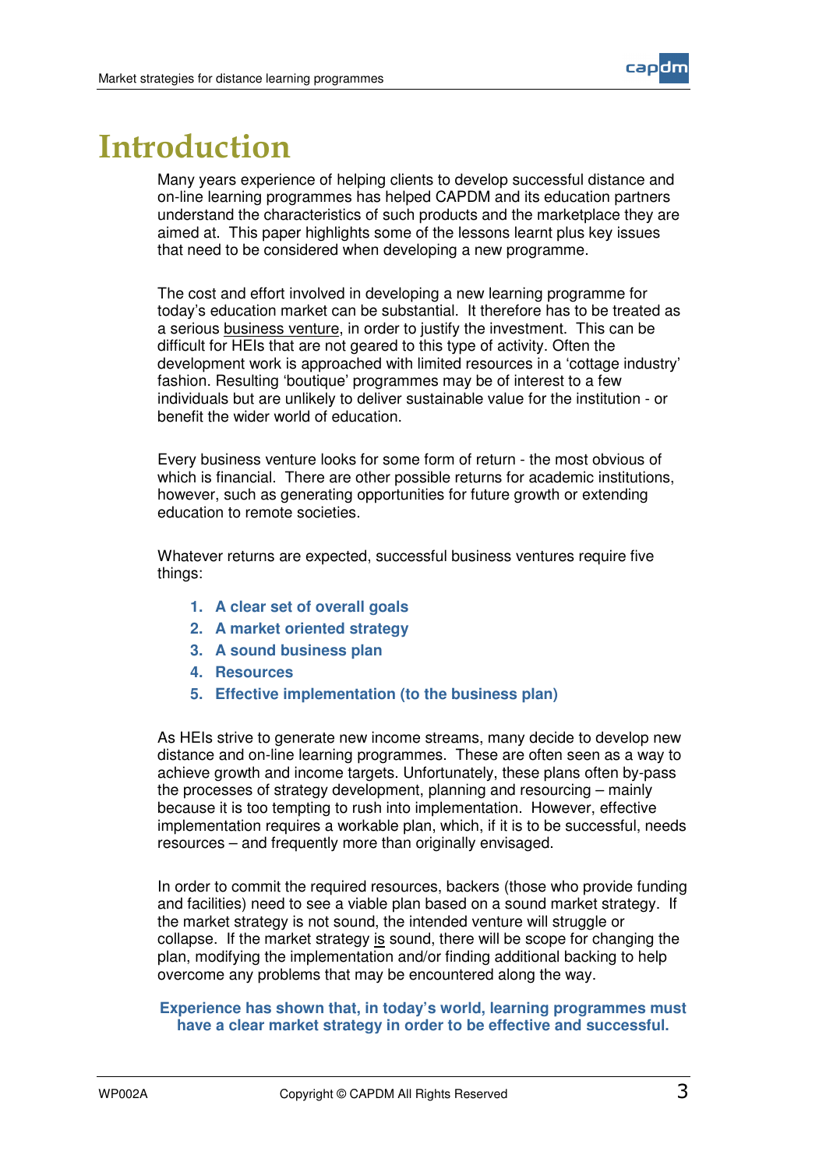

### <u>Introduction</u>

Many years experience of helping clients to develop successful distance and on-line learning programmes has helped CAPDM and its education partners understand the characteristics of such products and the marketplace they are aimed at. This paper highlights some of the lessons learnt plus key issues that need to be considered when developing a new programme.

The cost and effort involved in developing a new learning programme for today's education market can be substantial. It therefore has to be treated as a serious business venture, in order to justify the investment. This can be difficult for HEIs that are not geared to this type of activity. Often the development work is approached with limited resources in a 'cottage industry' fashion. Resulting 'boutique' programmes may be of interest to a few individuals but are unlikely to deliver sustainable value for the institution - or benefit the wider world of education.

Every business venture looks for some form of return - the most obvious of which is financial. There are other possible returns for academic institutions, however, such as generating opportunities for future growth or extending education to remote societies.

Whatever returns are expected, successful business ventures require five things:

- **1. A clear set of overall goals**
- **2. A market oriented strategy**
- **3. A sound business plan**
- **4. Resources**
- **5. Effective implementation (to the business plan)**

As HEIs strive to generate new income streams, many decide to develop new distance and on-line learning programmes. These are often seen as a way to achieve growth and income targets. Unfortunately, these plans often by-pass the processes of strategy development, planning and resourcing – mainly because it is too tempting to rush into implementation. However, effective implementation requires a workable plan, which, if it is to be successful, needs resources – and frequently more than originally envisaged.

In order to commit the required resources, backers (those who provide funding and facilities) need to see a viable plan based on a sound market strategy. If the market strategy is not sound, the intended venture will struggle or collapse. If the market strategy is sound, there will be scope for changing the plan, modifying the implementation and/or finding additional backing to help overcome any problems that may be encountered along the way.

#### **Experience has shown that, in today's world, learning programmes must have a clear market strategy in order to be effective and successful.**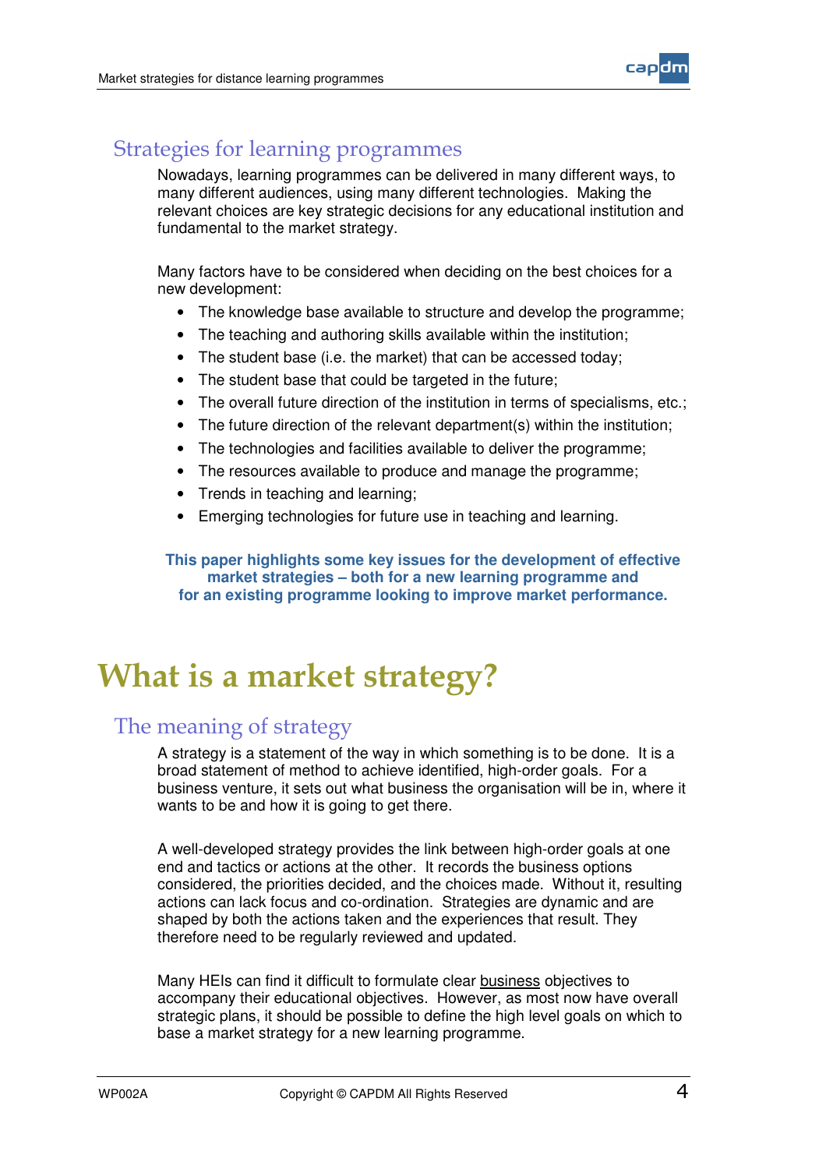

#### Strategies for learning programmes

Nowadays, learning programmes can be delivered in many different ways, to many different audiences, using many different technologies. Making the relevant choices are key strategic decisions for any educational institution and fundamental to the market strategy.

Many factors have to be considered when deciding on the best choices for a new development:

- The knowledge base available to structure and develop the programme;
- The teaching and authoring skills available within the institution;
- The student base (i.e. the market) that can be accessed today;
- The student base that could be targeted in the future;
- The overall future direction of the institution in terms of specialisms, etc.;
- The future direction of the relevant department(s) within the institution;
- The technologies and facilities available to deliver the programme;
- The resources available to produce and manage the programme;
- Trends in teaching and learning;
- Emerging technologies for future use in teaching and learning.

**This paper highlights some key issues for the development of effective market strategies – both for a new learning programme and for an existing programme looking to improve market performance.**

### What is a market strategy?

#### The meaning of strategy

A strategy is a statement of the way in which something is to be done. It is a broad statement of method to achieve identified, high-order goals. For a business venture, it sets out what business the organisation will be in, where it wants to be and how it is going to get there.

A well-developed strategy provides the link between high-order goals at one end and tactics or actions at the other. It records the business options considered, the priorities decided, and the choices made. Without it, resulting actions can lack focus and co-ordination. Strategies are dynamic and are shaped by both the actions taken and the experiences that result. They therefore need to be regularly reviewed and updated.

Many HEIs can find it difficult to formulate clear business objectives to accompany their educational objectives. However, as most now have overall strategic plans, it should be possible to define the high level goals on which to base a market strategy for a new learning programme.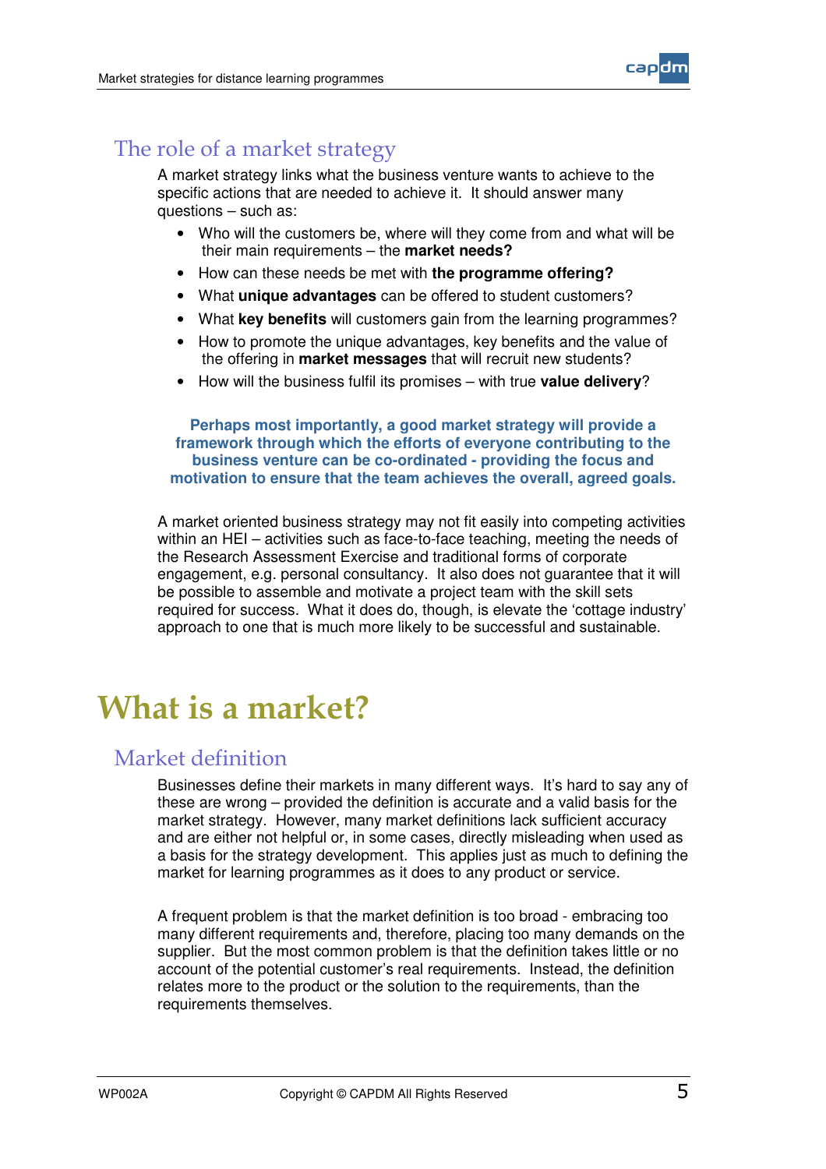

#### The role of a market strategy

A market strategy links what the business venture wants to achieve to the specific actions that are needed to achieve it. It should answer many questions – such as:

- Who will the customers be, where will they come from and what will be their main requirements – the **market needs?**
- How can these needs be met with **the programme offering?**
- What **unique advantages** can be offered to student customers?
- What **key benefits** will customers gain from the learning programmes?
- How to promote the unique advantages, key benefits and the value of the offering in **market messages** that will recruit new students?
- How will the business fulfil its promises with true **value delivery**?

**Perhaps most importantly, a good market strategy will provide a framework through which the efforts of everyone contributing to the business venture can be co-ordinated - providing the focus and motivation to ensure that the team achieves the overall, agreed goals.**

A market oriented business strategy may not fit easily into competing activities within an HEI – activities such as face-to-face teaching, meeting the needs of the Research Assessment Exercise and traditional forms of corporate engagement, e.g. personal consultancy. It also does not guarantee that it will be possible to assemble and motivate a project team with the skill sets required for success. What it does do, though, is elevate the 'cottage industry' approach to one that is much more likely to be successful and sustainable.

### What is a market?

#### Market definition

Businesses define their markets in many different ways. It's hard to say any of these are wrong – provided the definition is accurate and a valid basis for the market strategy. However, many market definitions lack sufficient accuracy and are either not helpful or, in some cases, directly misleading when used as a basis for the strategy development. This applies just as much to defining the market for learning programmes as it does to any product or service.

A frequent problem is that the market definition is too broad - embracing too many different requirements and, therefore, placing too many demands on the supplier. But the most common problem is that the definition takes little or no account of the potential customer's real requirements. Instead, the definition relates more to the product or the solution to the requirements, than the requirements themselves.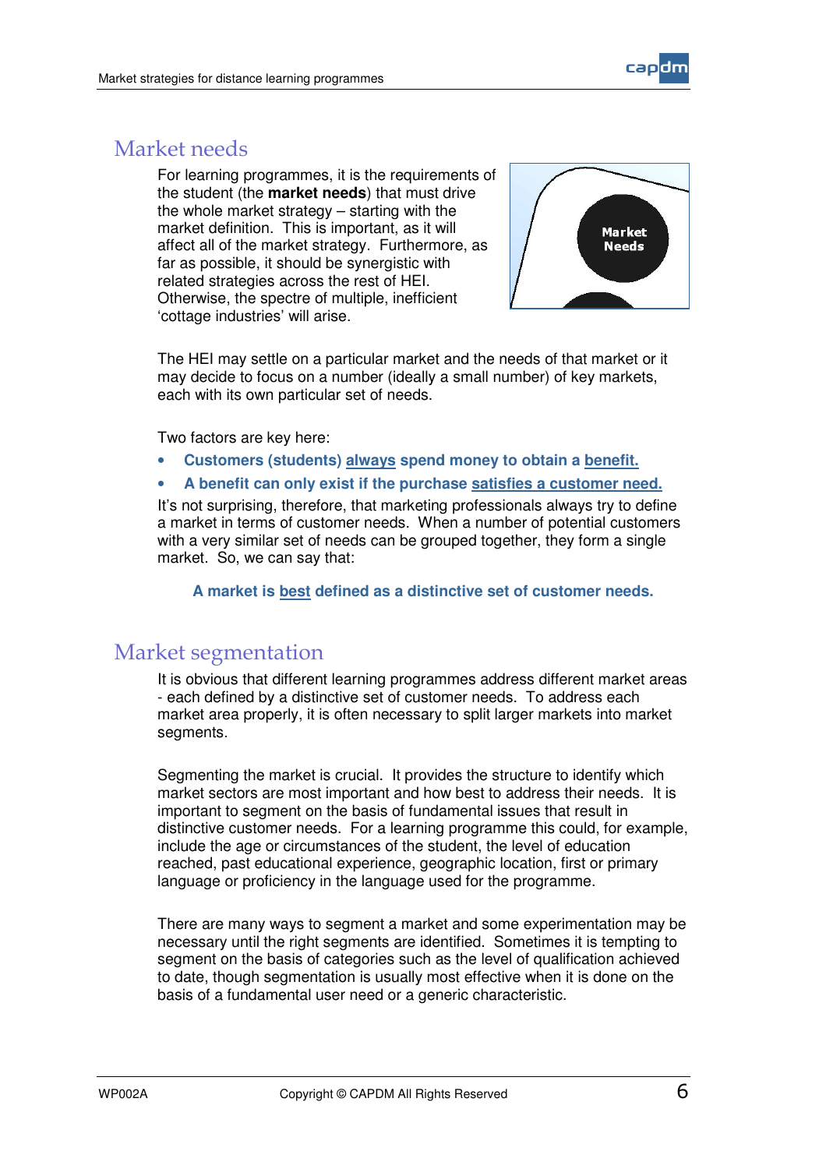

### Market needs

For learning programmes, it is the requirements of the student (the **market needs**) that must drive the whole market strategy – starting with the market definition. This is important, as it will affect all of the market strategy. Furthermore, as far as possible, it should be synergistic with related strategies across the rest of HEI. Otherwise, the spectre of multiple, inefficient 'cottage industries' will arise.



The HEI may settle on a particular market and the needs of that market or it may decide to focus on a number (ideally a small number) of key markets, each with its own particular set of needs.

Two factors are key here:

- **Customers (students) always spend money to obtain a benefit.**
- **A benefit can only exist if the purchase satisfies a customer need.**

It's not surprising, therefore, that marketing professionals always try to define a market in terms of customer needs. When a number of potential customers with a very similar set of needs can be grouped together, they form a single market. So, we can say that:

**A market is best defined as a distinctive set of customer needs.**

#### Market segmentation

It is obvious that different learning programmes address different market areas - each defined by a distinctive set of customer needs. To address each market area properly, it is often necessary to split larger markets into market segments.

Segmenting the market is crucial. It provides the structure to identify which market sectors are most important and how best to address their needs. It is important to segment on the basis of fundamental issues that result in distinctive customer needs. For a learning programme this could, for example, include the age or circumstances of the student, the level of education reached, past educational experience, geographic location, first or primary language or proficiency in the language used for the programme.

There are many ways to segment a market and some experimentation may be necessary until the right segments are identified. Sometimes it is tempting to segment on the basis of categories such as the level of qualification achieved to date, though segmentation is usually most effective when it is done on the basis of a fundamental user need or a generic characteristic.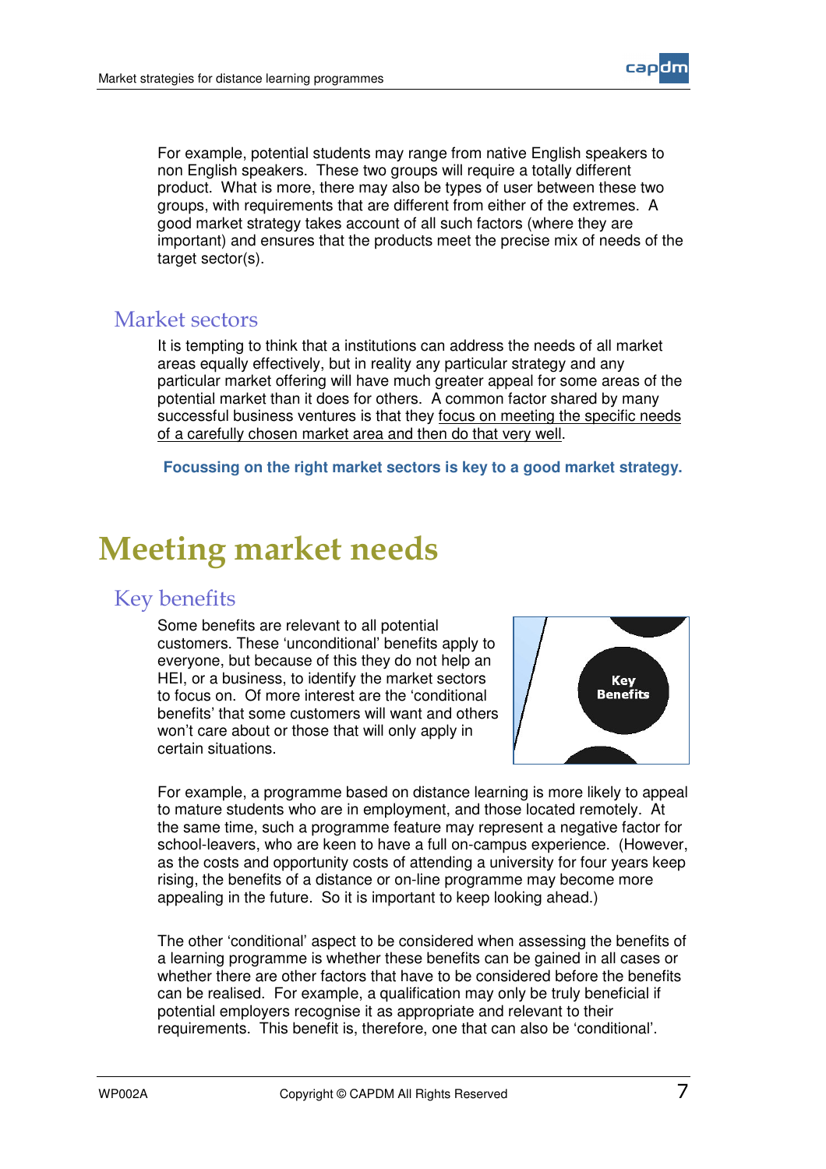

For example, potential students may range from native English speakers to non English speakers. These two groups will require a totally different product. What is more, there may also be types of user between these two groups, with requirements that are different from either of the extremes. A good market strategy takes account of all such factors (where they are important) and ensures that the products meet the precise mix of needs of the target sector(s).

#### Market sectors

It is tempting to think that a institutions can address the needs of all market areas equally effectively, but in reality any particular strategy and any particular market offering will have much greater appeal for some areas of the potential market than it does for others. A common factor shared by many successful business ventures is that they focus on meeting the specific needs of a carefully chosen market area and then do that very well.

**Focussing on the right market sectors is key to a good market strategy.**

### **Meeting market needs**

### Key benefits

Some benefits are relevant to all potential customers. These 'unconditional' benefits apply to everyone, but because of this they do not help an HEI, or a business, to identify the market sectors to focus on. Of more interest are the 'conditional benefits' that some customers will want and others won't care about or those that will only apply in certain situations.



For example, a programme based on distance learning is more likely to appeal to mature students who are in employment, and those located remotely. At the same time, such a programme feature may represent a negative factor for school-leavers, who are keen to have a full on-campus experience. (However, as the costs and opportunity costs of attending a university for four years keep rising, the benefits of a distance or on-line programme may become more appealing in the future. So it is important to keep looking ahead.)

The other 'conditional' aspect to be considered when assessing the benefits of a learning programme is whether these benefits can be gained in all cases or whether there are other factors that have to be considered before the benefits can be realised. For example, a qualification may only be truly beneficial if potential employers recognise it as appropriate and relevant to their requirements. This benefit is, therefore, one that can also be 'conditional'.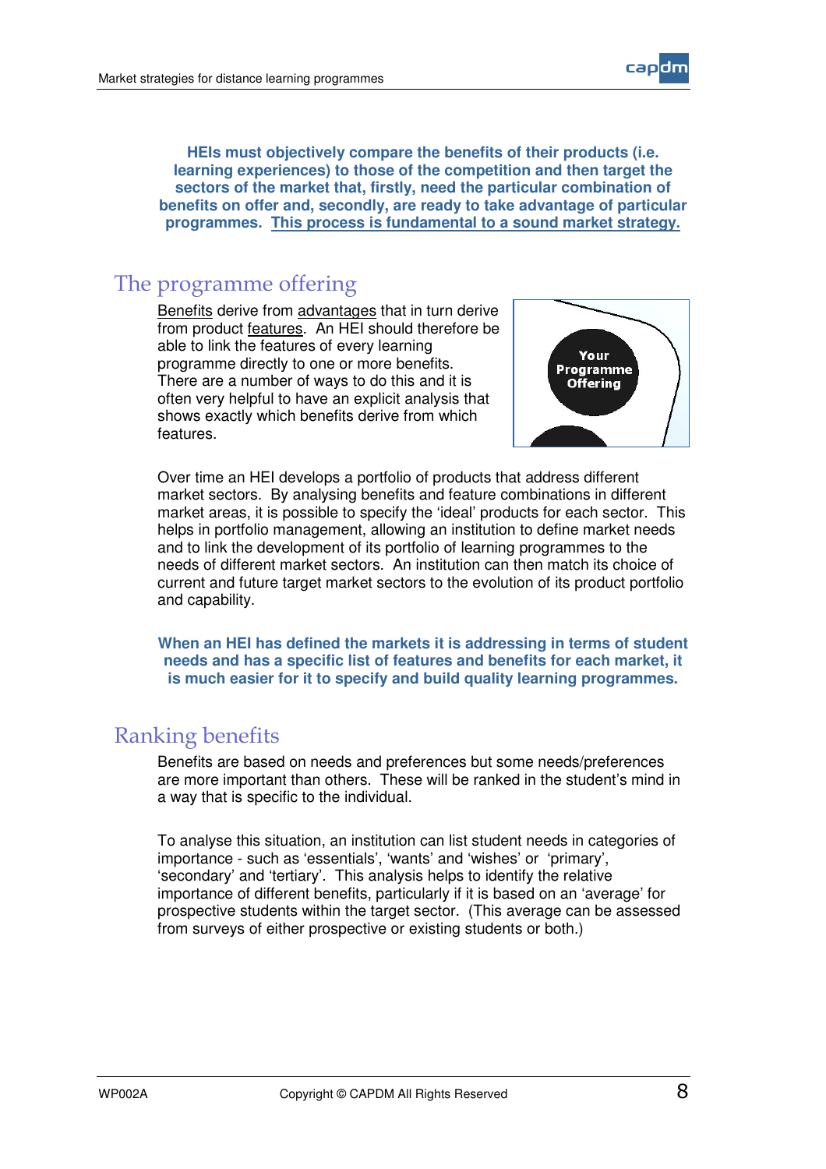

**HEIs must objectively compare the benefits of their products (i.e. learning experiences) to those of the competition and then target the sectors of the market that, firstly, need the particular combination of benefits on offer and, secondly, are ready to take advantage of particular programmes. This process is fundamental to a sound market strategy.**

#### The programme offering

Benefits derive from advantages that in turn derive from product features. An HEI should therefore be able to link the features of every learning programme directly to one or more benefits. There are a number of ways to do this and it is often very helpful to have an explicit analysis that shows exactly which benefits derive from which features.



Over time an HEI develops a portfolio of products that address different market sectors. By analysing benefits and feature combinations in different market areas, it is possible to specify the 'ideal' products for each sector. This helps in portfolio management, allowing an institution to define market needs and to link the development of its portfolio of learning programmes to the needs of different market sectors. An institution can then match its choice of current and future target market sectors to the evolution of its product portfolio and capability.

**When an HEI has defined the markets it is addressing in terms of student needs and has a specific list of features and benefits for each market, it is much easier for it to specify and build quality learning programmes.**

#### Ranking benefits

Benefits are based on needs and preferences but some needs/preferences are more important than others. These will be ranked in the student's mind in a way that is specific to the individual.

To analyse this situation, an institution can list student needs in categories of importance - such as 'essentials', 'wants' and 'wishes' or 'primary', 'secondary' and 'tertiary'. This analysis helps to identify the relative importance of different benefits, particularly if it is based on an 'average' for prospective students within the target sector. (This average can be assessed from surveys of either prospective or existing students or both.)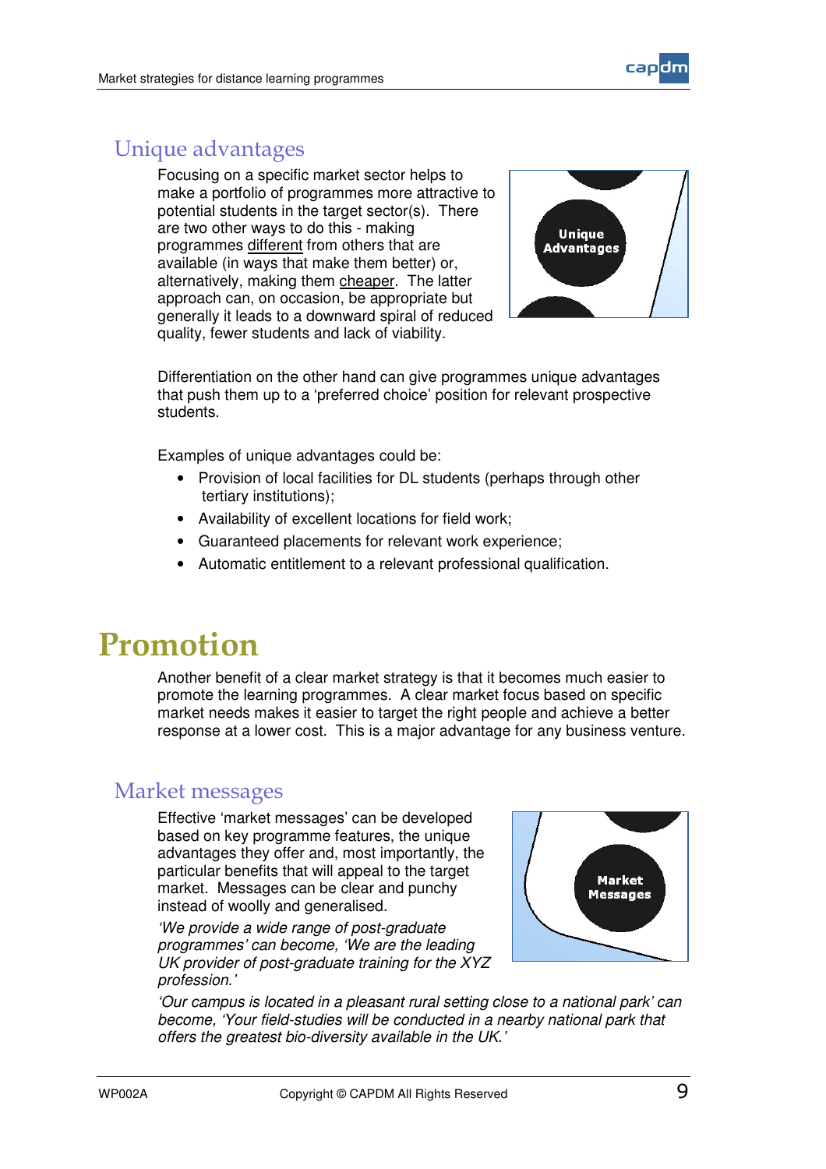



#### Unique advantages

Focusing on a specific market sector helps to make a portfolio of programmes more attractive to potential students in the target sector(s). There are two other ways to do this - making programmes different from others that are available (in ways that make them better) or, alternatively, making them cheaper. The latter approach can, on occasion, be appropriate but generally it leads to a downward spiral of reduced quality, fewer students and lack of viability.



Differentiation on the other hand can give programmes unique advantages that push them up to a 'preferred choice' position for relevant prospective students.

Examples of unique advantages could be:

- Provision of local facilities for DL students (perhaps through other tertiary institutions);
- Availability of excellent locations for field work;
- Guaranteed placements for relevant work experience;
- Automatic entitlement to a relevant professional qualification.

## Promotion

Another benefit of a clear market strategy is that it becomes much easier to promote the learning programmes. A clear market focus based on specific market needs makes it easier to target the right people and achieve a better response at a lower cost. This is a major advantage for any business venture.

#### Market messages

Effective 'market messages' can be developed based on key programme features, the unique advantages they offer and, most importantly, the particular benefits that will appeal to the target market. Messages can be clear and punchy instead of woolly and generalised.

*'We provide a wide range of post-graduate programmes' can become, 'We are the leading UK provider of post-graduate training for the XYZ profession.'*



*'Our campus is located in a pleasant rural setting close to a national park' can become, 'Your field-studies will be conducted in a nearby national park that offers the greatest bio-diversity available in the UK.'*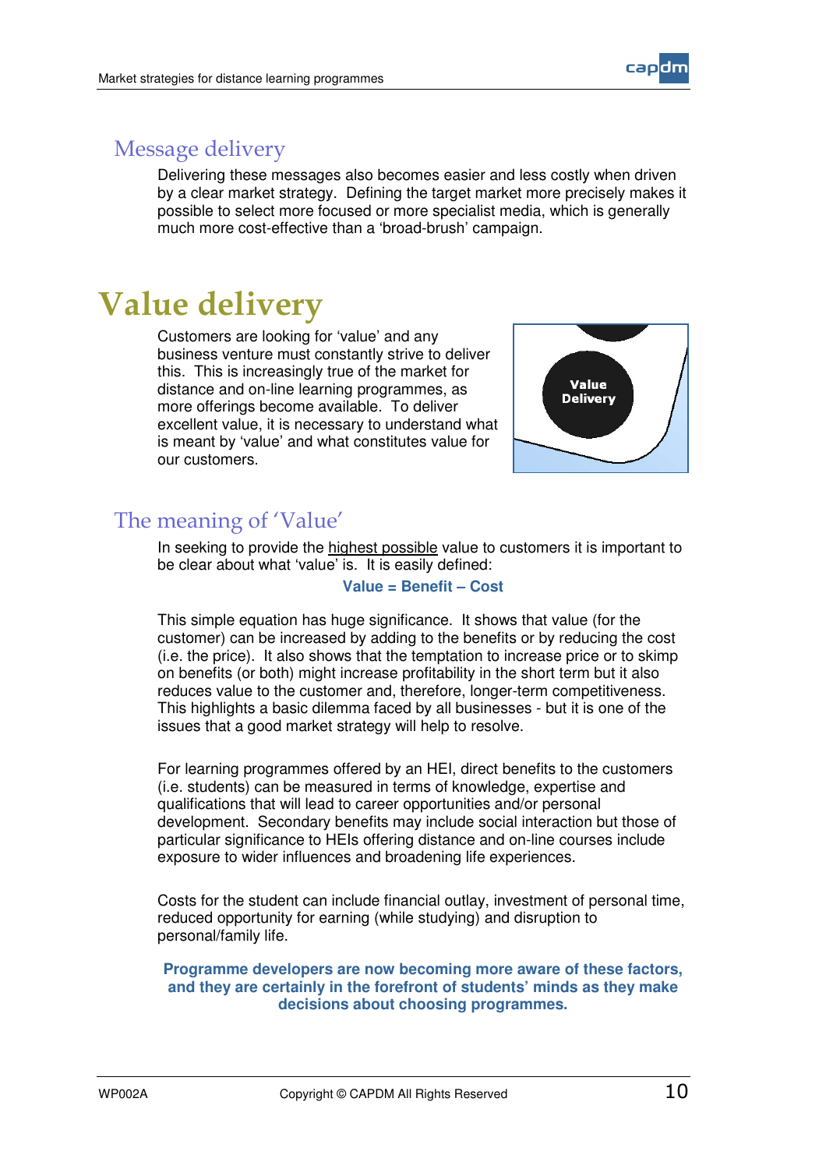

#### Message delivery

Delivering these messages also becomes easier and less costly when driven by a clear market strategy. Defining the target market more precisely makes it possible to select more focused or more specialist media, which is generally much more cost-effective than a 'broad-brush' campaign.

### **Value delivery**

Customers are looking for 'value' and any business venture must constantly strive to deliver this. This is increasingly true of the market for distance and on-line learning programmes, as more offerings become available. To deliver excellent value, it is necessary to understand what is meant by 'value' and what constitutes value for our customers.



#### The meaning of 'Value'

In seeking to provide the highest possible value to customers it is important to be clear about what 'value' is. It is easily defined:

**Value = Benefit – Cost**

This simple equation has huge significance. It shows that value (for the customer) can be increased by adding to the benefits or by reducing the cost (i.e. the price). It also shows that the temptation to increase price or to skimp on benefits (or both) might increase profitability in the short term but it also reduces value to the customer and, therefore, longer-term competitiveness. This highlights a basic dilemma faced by all businesses - but it is one of the issues that a good market strategy will help to resolve.

For learning programmes offered by an HEI, direct benefits to the customers (i.e. students) can be measured in terms of knowledge, expertise and qualifications that will lead to career opportunities and/or personal development. Secondary benefits may include social interaction but those of particular significance to HEIs offering distance and on-line courses include exposure to wider influences and broadening life experiences.

Costs for the student can include financial outlay, investment of personal time, reduced opportunity for earning (while studying) and disruption to personal/family life.

**Programme developers are now becoming more aware of these factors, and they are certainly in the forefront of students' minds as they make decisions about choosing programmes.**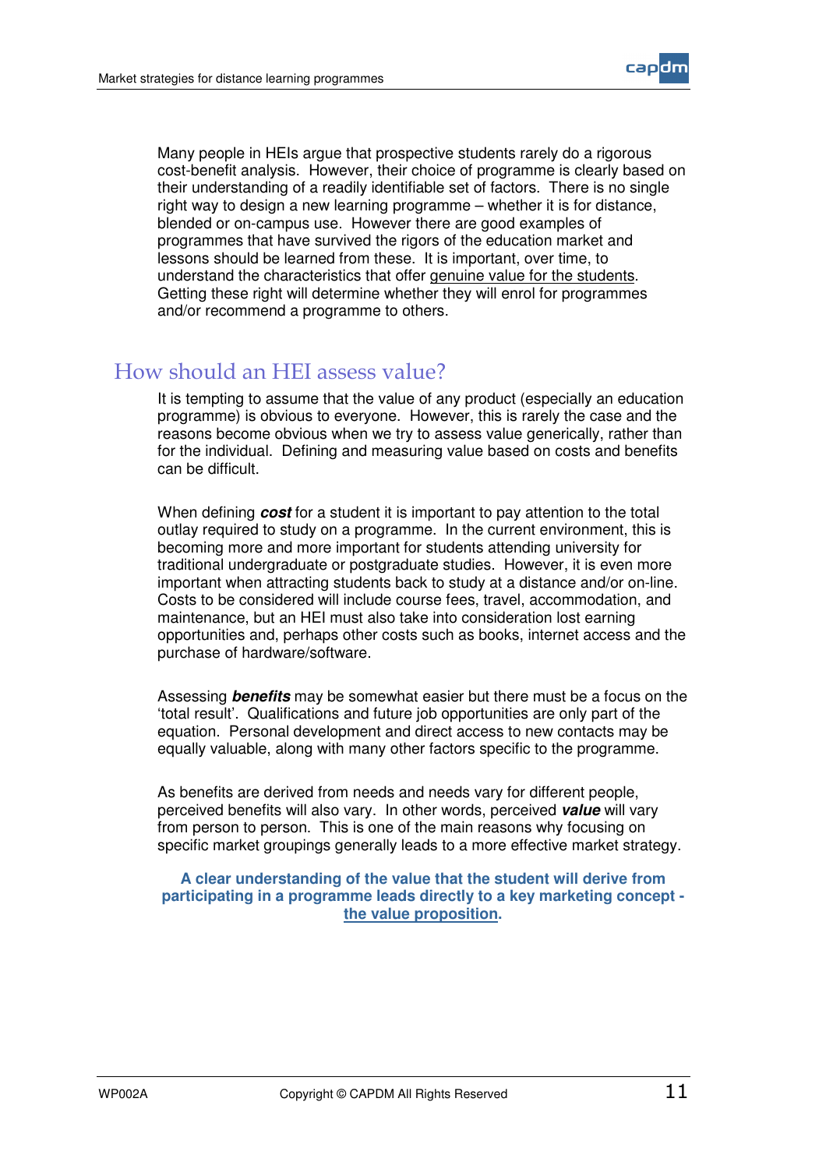

Many people in HEIs argue that prospective students rarely do a rigorous cost-benefit analysis. However, their choice of programme is clearly based on their understanding of a readily identifiable set of factors. There is no single right way to design a new learning programme – whether it is for distance, blended or on-campus use. However there are good examples of programmes that have survived the rigors of the education market and lessons should be learned from these. It is important, over time, to understand the characteristics that offer genuine value for the students. Getting these right will determine whether they will enrol for programmes and/or recommend a programme to others.

#### How should an HEI assess value?

It is tempting to assume that the value of any product (especially an education programme) is obvious to everyone. However, this is rarely the case and the reasons become obvious when we try to assess value generically, rather than for the individual. Defining and measuring value based on costs and benefits can be difficult.

When defining *cost* for a student it is important to pay attention to the total outlay required to study on a programme. In the current environment, this is becoming more and more important for students attending university for traditional undergraduate or postgraduate studies. However, it is even more important when attracting students back to study at a distance and/or on-line. Costs to be considered will include course fees, travel, accommodation, and maintenance, but an HEI must also take into consideration lost earning opportunities and, perhaps other costs such as books, internet access and the purchase of hardware/software.

Assessing *benefits* may be somewhat easier but there must be a focus on the 'total result'. Qualifications and future job opportunities are only part of the equation. Personal development and direct access to new contacts may be equally valuable, along with many other factors specific to the programme.

As benefits are derived from needs and needs vary for different people, perceived benefits will also vary. In other words, perceived *value* will vary from person to person. This is one of the main reasons why focusing on specific market groupings generally leads to a more effective market strategy.

**A clear understanding of the value that the student will derive from participating in a programme leads directly to a key marketing concept the value proposition.**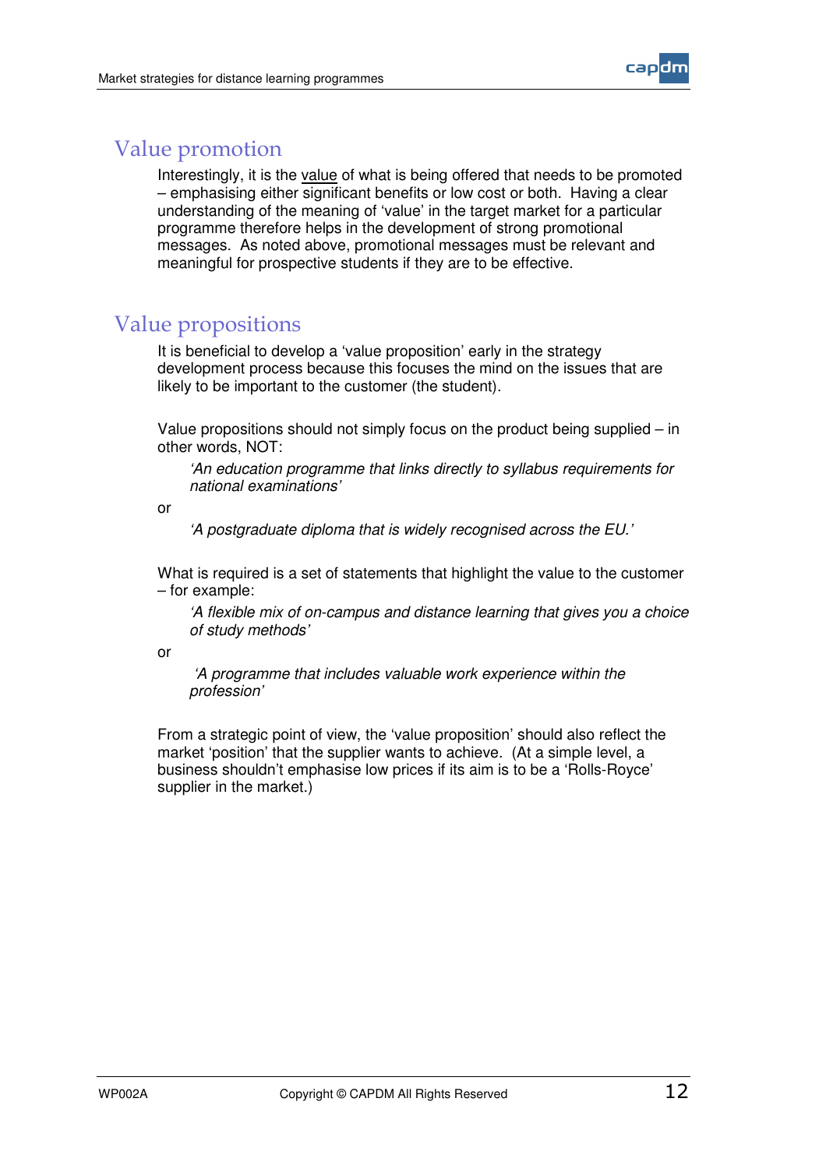

#### Value promotion

Interestingly, it is the value of what is being offered that needs to be promoted – emphasising either significant benefits or low cost or both. Having a clear understanding of the meaning of 'value' in the target market for a particular programme therefore helps in the development of strong promotional messages. As noted above, promotional messages must be relevant and meaningful for prospective students if they are to be effective.

#### Value propositions

It is beneficial to develop a 'value proposition' early in the strategy development process because this focuses the mind on the issues that are likely to be important to the customer (the student).

Value propositions should not simply focus on the product being supplied – in other words, NOT:

*'An education programme that links directly to syllabus requirements for national examinations'*

or

*'A postgraduate diploma that is widely recognised across the EU.'*

What is required is a set of statements that highlight the value to the customer – for example:

*'A flexible mix of on-campus and distance learning that gives you a choice of study methods'*

or

*'A programme that includes valuable work experience within the profession'*

From a strategic point of view, the 'value proposition' should also reflect the market 'position' that the supplier wants to achieve. (At a simple level, a business shouldn't emphasise low prices if its aim is to be a 'Rolls-Royce' supplier in the market.)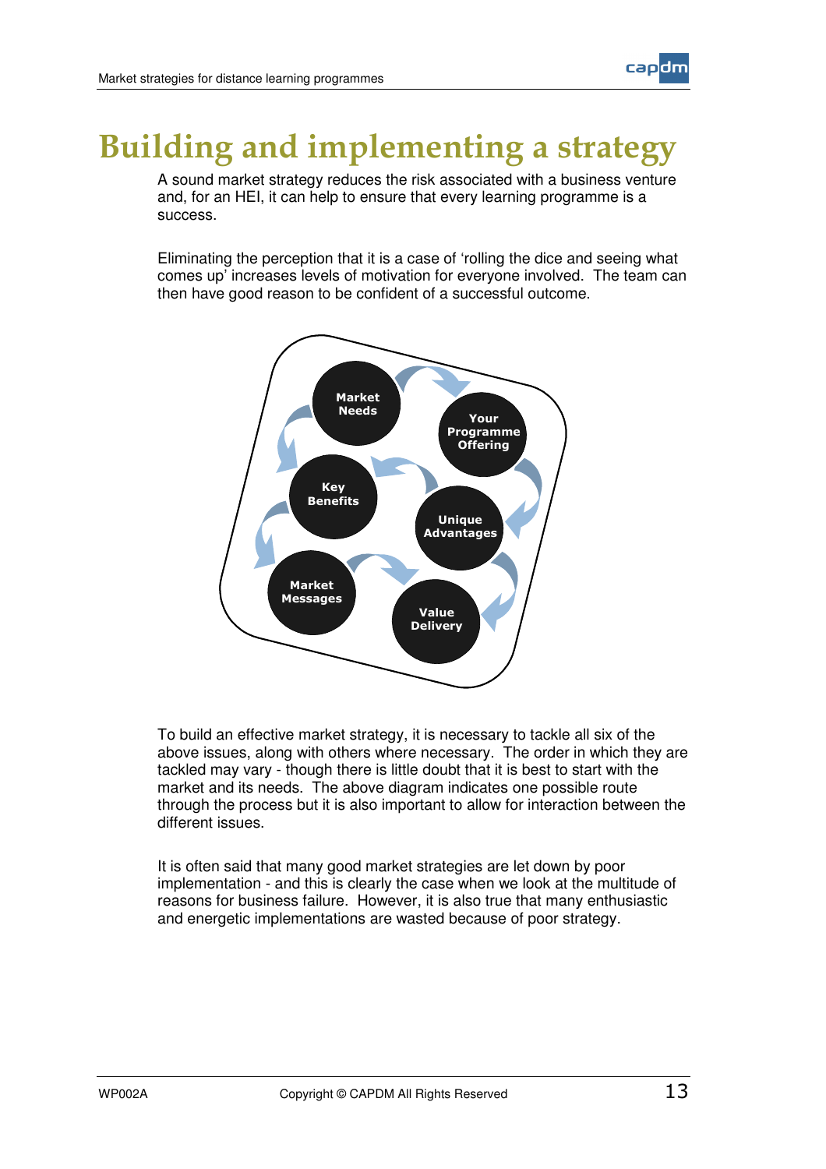

## **Building and implementing a strategy**

A sound market strategy reduces the risk associated with a business venture and, for an HEI, it can help to ensure that every learning programme is a success.

Eliminating the perception that it is a case of 'rolling the dice and seeing what comes up' increases levels of motivation for everyone involved. The team can then have good reason to be confident of a successful outcome.



To build an effective market strategy, it is necessary to tackle all six of the above issues, along with others where necessary. The order in which they are tackled may vary - though there is little doubt that it is best to start with the market and its needs. The above diagram indicates one possible route through the process but it is also important to allow for interaction between the different issues.

It is often said that many good market strategies are let down by poor implementation - and this is clearly the case when we look at the multitude of reasons for business failure. However, it is also true that many enthusiastic and energetic implementations are wasted because of poor strategy.